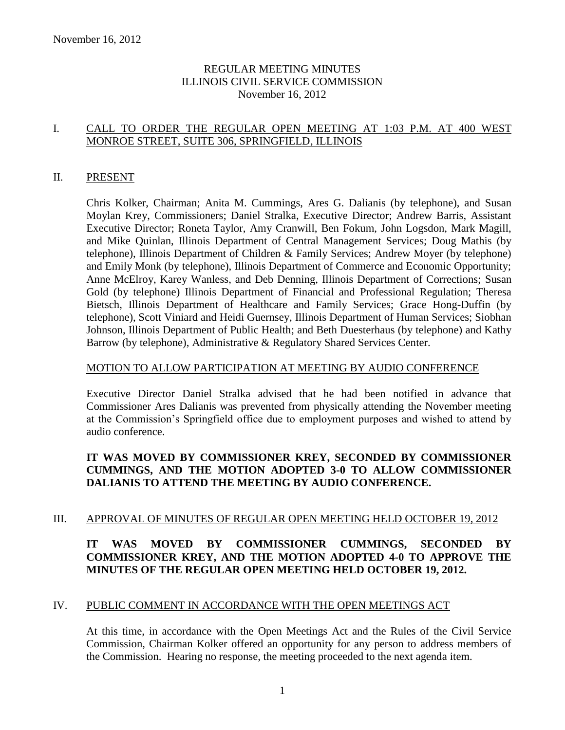### REGULAR MEETING MINUTES ILLINOIS CIVIL SERVICE COMMISSION November 16, 2012

### I. CALL TO ORDER THE REGULAR OPEN MEETING AT 1:03 P.M. AT 400 WEST MONROE STREET, SUITE 306, SPRINGFIELD, ILLINOIS

### II. PRESENT

Chris Kolker, Chairman; Anita M. Cummings, Ares G. Dalianis (by telephone), and Susan Moylan Krey, Commissioners; Daniel Stralka, Executive Director; Andrew Barris, Assistant Executive Director; Roneta Taylor, Amy Cranwill, Ben Fokum, John Logsdon, Mark Magill, and Mike Quinlan, Illinois Department of Central Management Services; Doug Mathis (by telephone), Illinois Department of Children & Family Services; Andrew Moyer (by telephone) and Emily Monk (by telephone), Illinois Department of Commerce and Economic Opportunity; Anne McElroy, Karey Wanless, and Deb Denning, Illinois Department of Corrections; Susan Gold (by telephone) Illinois Department of Financial and Professional Regulation; Theresa Bietsch, Illinois Department of Healthcare and Family Services; Grace Hong-Duffin (by telephone), Scott Viniard and Heidi Guernsey, Illinois Department of Human Services; Siobhan Johnson, Illinois Department of Public Health; and Beth Duesterhaus (by telephone) and Kathy Barrow (by telephone), Administrative & Regulatory Shared Services Center.

### MOTION TO ALLOW PARTICIPATION AT MEETING BY AUDIO CONFERENCE

Executive Director Daniel Stralka advised that he had been notified in advance that Commissioner Ares Dalianis was prevented from physically attending the November meeting at the Commission's Springfield office due to employment purposes and wished to attend by audio conference.

# **IT WAS MOVED BY COMMISSIONER KREY, SECONDED BY COMMISSIONER CUMMINGS, AND THE MOTION ADOPTED 3-0 TO ALLOW COMMISSIONER DALIANIS TO ATTEND THE MEETING BY AUDIO CONFERENCE.**

### III. APPROVAL OF MINUTES OF REGULAR OPEN MEETING HELD OCTOBER 19, 2012

### **IT WAS MOVED BY COMMISSIONER CUMMINGS, SECONDED BY COMMISSIONER KREY, AND THE MOTION ADOPTED 4-0 TO APPROVE THE MINUTES OF THE REGULAR OPEN MEETING HELD OCTOBER 19, 2012.**

### IV. PUBLIC COMMENT IN ACCORDANCE WITH THE OPEN MEETINGS ACT

At this time, in accordance with the Open Meetings Act and the Rules of the Civil Service Commission, Chairman Kolker offered an opportunity for any person to address members of the Commission. Hearing no response, the meeting proceeded to the next agenda item.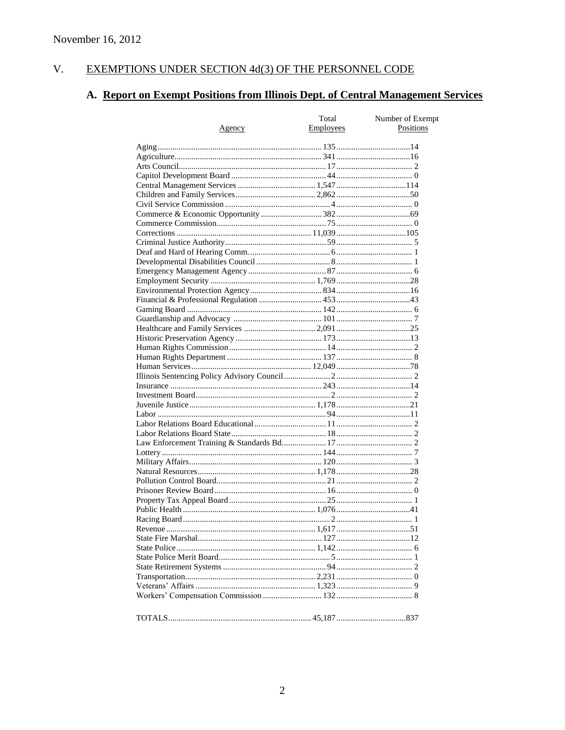#### $V<sub>1</sub>$ EXEMPTIONS UNDER SECTION 4d(3) OF THE PERSONNEL CODE

# A. Report on Exempt Positions from Illinois Dept. of Central Management Services

|               | Total     | Number of Exempt |
|---------------|-----------|------------------|
| <u>Agency</u> | Employees | Positions        |
|               |           |                  |
|               |           |                  |
|               |           |                  |
|               |           |                  |
|               |           |                  |
|               |           |                  |
|               |           |                  |
|               |           |                  |
|               |           |                  |
|               |           |                  |
|               |           |                  |
|               |           |                  |
|               |           |                  |
|               |           |                  |
|               |           |                  |
|               |           |                  |
|               |           |                  |
|               |           |                  |
|               |           |                  |
|               |           |                  |
|               |           |                  |
|               |           |                  |
|               |           |                  |
|               |           |                  |
|               |           |                  |
|               |           |                  |
|               |           |                  |
|               |           |                  |
|               |           |                  |
|               |           |                  |
|               |           |                  |
|               |           |                  |
|               |           |                  |
|               |           |                  |
|               |           |                  |
|               |           |                  |
|               |           |                  |
|               |           |                  |
|               |           |                  |
|               |           |                  |
|               |           |                  |
|               |           |                  |
|               |           |                  |
|               |           |                  |
|               |           |                  |
|               |           |                  |
|               |           |                  |
|               |           |                  |
|               |           |                  |
|               |           |                  |
|               |           |                  |
|               |           |                  |
|               |           |                  |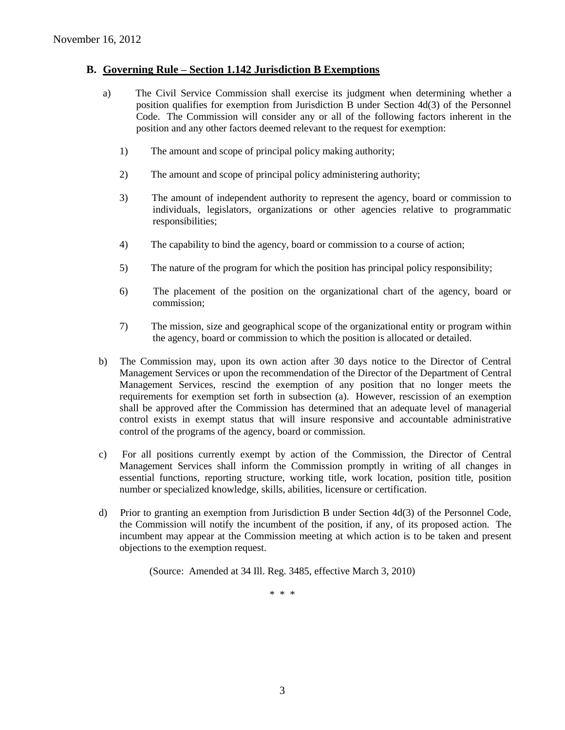### **B. Governing Rule – Section 1.142 Jurisdiction B Exemptions**

- a) The Civil Service Commission shall exercise its judgment when determining whether a position qualifies for exemption from Jurisdiction B under Section 4d(3) of the Personnel Code. The Commission will consider any or all of the following factors inherent in the position and any other factors deemed relevant to the request for exemption:
	- 1) The amount and scope of principal policy making authority;
	- 2) The amount and scope of principal policy administering authority;
	- 3) The amount of independent authority to represent the agency, board or commission to individuals, legislators, organizations or other agencies relative to programmatic responsibilities;
	- 4) The capability to bind the agency, board or commission to a course of action;
	- 5) The nature of the program for which the position has principal policy responsibility;
	- 6) The placement of the position on the organizational chart of the agency, board or commission;
	- 7) The mission, size and geographical scope of the organizational entity or program within the agency, board or commission to which the position is allocated or detailed.
- b) The Commission may, upon its own action after 30 days notice to the Director of Central Management Services or upon the recommendation of the Director of the Department of Central Management Services, rescind the exemption of any position that no longer meets the requirements for exemption set forth in subsection (a). However, rescission of an exemption shall be approved after the Commission has determined that an adequate level of managerial control exists in exempt status that will insure responsive and accountable administrative control of the programs of the agency, board or commission.
- c) For all positions currently exempt by action of the Commission, the Director of Central Management Services shall inform the Commission promptly in writing of all changes in essential functions, reporting structure, working title, work location, position title, position number or specialized knowledge, skills, abilities, licensure or certification.
- d) Prior to granting an exemption from Jurisdiction B under Section 4d(3) of the Personnel Code, the Commission will notify the incumbent of the position, if any, of its proposed action. The incumbent may appear at the Commission meeting at which action is to be taken and present objections to the exemption request.

(Source: Amended at 34 Ill. Reg. 3485, effective March 3, 2010)

\* \* \*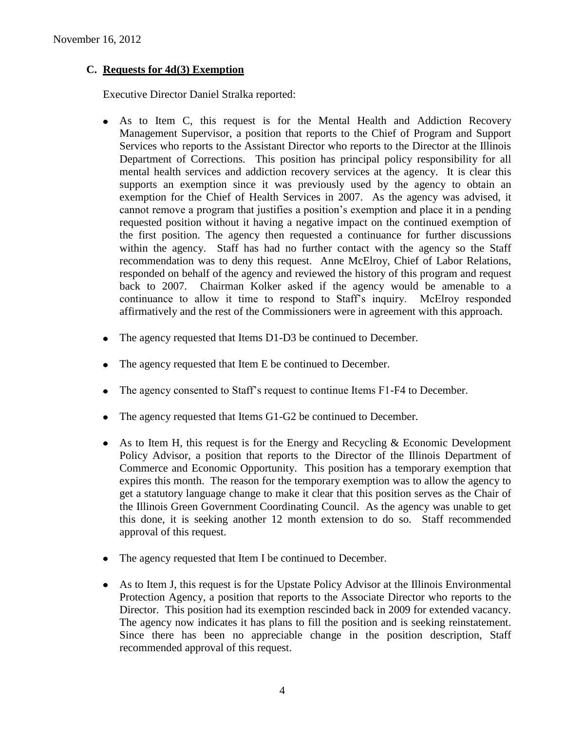### **C. Requests for 4d(3) Exemption**

Executive Director Daniel Stralka reported:

- As to Item C, this request is for the Mental Health and Addiction Recovery Management Supervisor, a position that reports to the Chief of Program and Support Services who reports to the Assistant Director who reports to the Director at the Illinois Department of Corrections. This position has principal policy responsibility for all mental health services and addiction recovery services at the agency. It is clear this supports an exemption since it was previously used by the agency to obtain an exemption for the Chief of Health Services in 2007. As the agency was advised, it cannot remove a program that justifies a position's exemption and place it in a pending requested position without it having a negative impact on the continued exemption of the first position. The agency then requested a continuance for further discussions within the agency. Staff has had no further contact with the agency so the Staff recommendation was to deny this request. Anne McElroy, Chief of Labor Relations, responded on behalf of the agency and reviewed the history of this program and request back to 2007. Chairman Kolker asked if the agency would be amenable to a continuance to allow it time to respond to Staff's inquiry. McElroy responded affirmatively and the rest of the Commissioners were in agreement with this approach.
- The agency requested that Items D1-D3 be continued to December.
- The agency requested that Item E be continued to December.
- The agency consented to Staff's request to continue Items F1-F4 to December.
- The agency requested that Items G1-G2 be continued to December.
- As to Item H, this request is for the Energy and Recycling & Economic Development  $\bullet$ Policy Advisor, a position that reports to the Director of the Illinois Department of Commerce and Economic Opportunity. This position has a temporary exemption that expires this month. The reason for the temporary exemption was to allow the agency to get a statutory language change to make it clear that this position serves as the Chair of the Illinois Green Government Coordinating Council. As the agency was unable to get this done, it is seeking another 12 month extension to do so. Staff recommended approval of this request.
- The agency requested that Item I be continued to December.  $\bullet$
- $\bullet$ As to Item J, this request is for the Upstate Policy Advisor at the Illinois Environmental Protection Agency, a position that reports to the Associate Director who reports to the Director. This position had its exemption rescinded back in 2009 for extended vacancy. The agency now indicates it has plans to fill the position and is seeking reinstatement. Since there has been no appreciable change in the position description, Staff recommended approval of this request.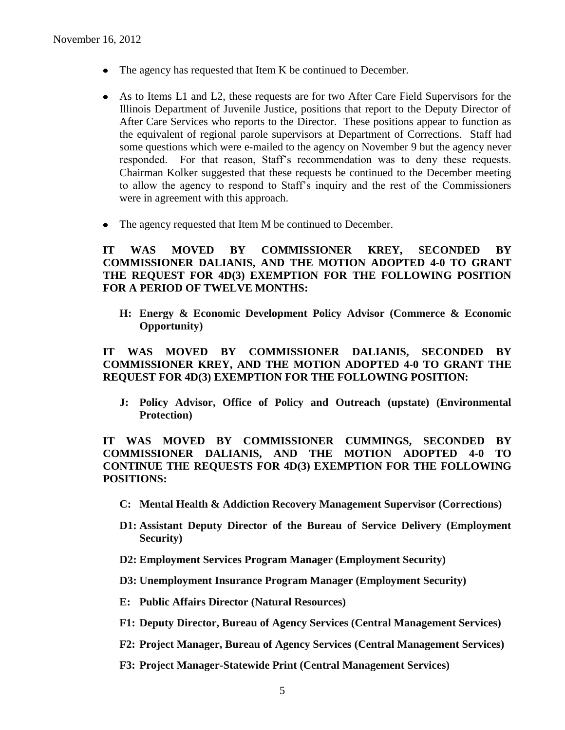- The agency has requested that Item K be continued to December.
- As to Items L1 and L2, these requests are for two After Care Field Supervisors for the Illinois Department of Juvenile Justice, positions that report to the Deputy Director of After Care Services who reports to the Director. These positions appear to function as the equivalent of regional parole supervisors at Department of Corrections. Staff had some questions which were e-mailed to the agency on November 9 but the agency never responded. For that reason, Staff's recommendation was to deny these requests. Chairman Kolker suggested that these requests be continued to the December meeting to allow the agency to respond to Staff's inquiry and the rest of the Commissioners were in agreement with this approach.
- The agency requested that Item M be continued to December.

### **IT WAS MOVED BY COMMISSIONER KREY, SECONDED BY COMMISSIONER DALIANIS, AND THE MOTION ADOPTED 4-0 TO GRANT THE REQUEST FOR 4D(3) EXEMPTION FOR THE FOLLOWING POSITION FOR A PERIOD OF TWELVE MONTHS:**

**H: Energy & Economic Development Policy Advisor (Commerce & Economic Opportunity)**

**IT WAS MOVED BY COMMISSIONER DALIANIS, SECONDED BY COMMISSIONER KREY, AND THE MOTION ADOPTED 4-0 TO GRANT THE REQUEST FOR 4D(3) EXEMPTION FOR THE FOLLOWING POSITION:**

**J: Policy Advisor, Office of Policy and Outreach (upstate) (Environmental Protection)**

**IT WAS MOVED BY COMMISSIONER CUMMINGS, SECONDED BY COMMISSIONER DALIANIS, AND THE MOTION ADOPTED 4-0 TO CONTINUE THE REQUESTS FOR 4D(3) EXEMPTION FOR THE FOLLOWING POSITIONS:**

- **C: Mental Health & Addiction Recovery Management Supervisor (Corrections)**
- **D1: Assistant Deputy Director of the Bureau of Service Delivery (Employment Security)**
- **D2: Employment Services Program Manager (Employment Security)**
- **D3: Unemployment Insurance Program Manager (Employment Security)**
- **E: Public Affairs Director (Natural Resources)**
- **F1: Deputy Director, Bureau of Agency Services (Central Management Services)**
- **F2: Project Manager, Bureau of Agency Services (Central Management Services)**
- **F3: Project Manager-Statewide Print (Central Management Services)**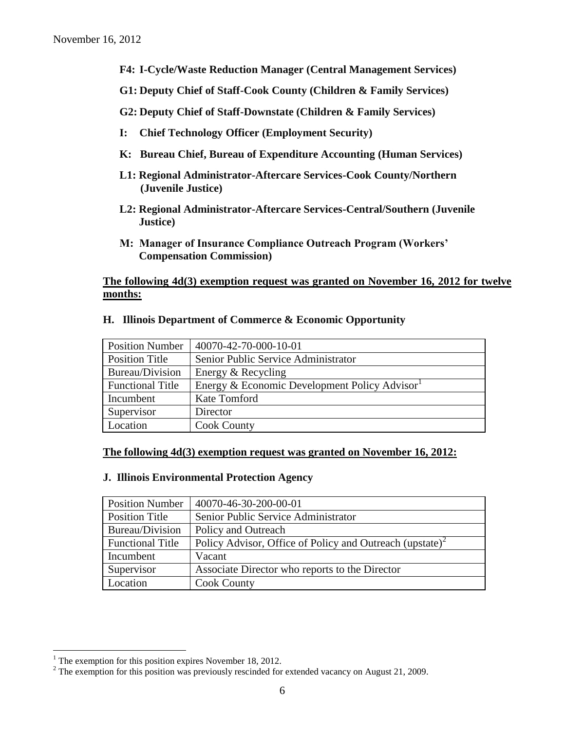- **F4: I-Cycle/Waste Reduction Manager (Central Management Services)**
- **G1: Deputy Chief of Staff-Cook County (Children & Family Services)**
- **G2: Deputy Chief of Staff-Downstate (Children & Family Services)**
- **I: Chief Technology Officer (Employment Security)**
- **K: Bureau Chief, Bureau of Expenditure Accounting (Human Services)**
- **L1: Regional Administrator-Aftercare Services-Cook County/Northern (Juvenile Justice)**
- **L2: Regional Administrator-Aftercare Services-Central/Southern (Juvenile Justice)**
- **M: Manager of Insurance Compliance Outreach Program (Workers' Compensation Commission)**

### **The following 4d(3) exemption request was granted on November 16, 2012 for twelve months:**

| <b>Position Number</b>  | $140070 - 42 - 70 - 000 - 10 - 01$           |
|-------------------------|----------------------------------------------|
| Position Title          | Senior Public Service Administrator          |
| Bureau/Division         | Energy & Recycling                           |
| <b>Functional Title</b> | Energy & Economic Development Policy Advisor |
| Incumbent               | Kate Tomford                                 |
| Supervisor              | Director                                     |
| Location                | <b>Cook County</b>                           |

#### **H. Illinois Department of Commerce & Economic Opportunity**

#### **The following 4d(3) exemption request was granted on November 16, 2012:**

#### **J. Illinois Environmental Protection Agency**

| <b>Position Number</b>  | 40070-46-30-200-00-01                                                |
|-------------------------|----------------------------------------------------------------------|
| <b>Position Title</b>   | Senior Public Service Administrator                                  |
| Bureau/Division         | Policy and Outreach                                                  |
| <b>Functional Title</b> | Policy Advisor, Office of Policy and Outreach (upstate) <sup>2</sup> |
| Incumbent               | Vacant                                                               |
| Supervisor              | Associate Director who reports to the Director                       |
| Location                | <b>Cook County</b>                                                   |

 $\overline{a}$ 

<sup>&</sup>lt;sup>1</sup> The exemption for this position expires November 18, 2012.

<sup>&</sup>lt;sup>2</sup> The exemption for this position was previously rescinded for extended vacancy on August 21, 2009.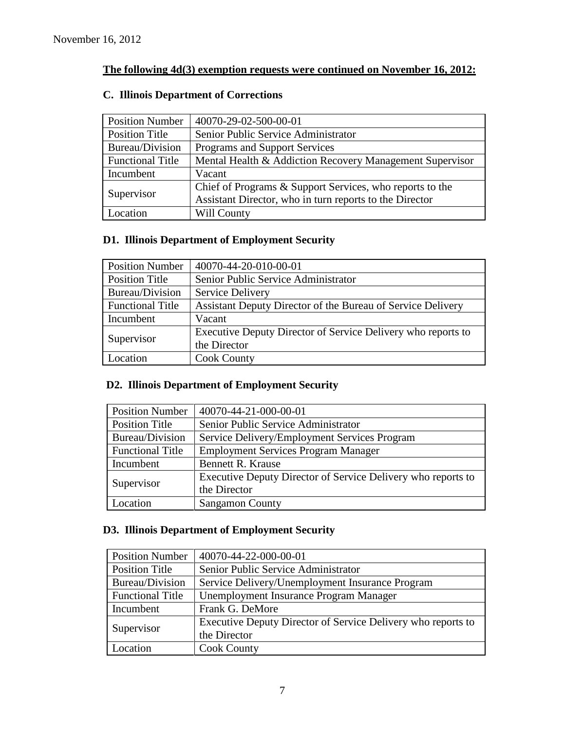# **The following 4d(3) exemption requests were continued on November 16, 2012:**

| <b>Position Number</b>  | 40070-29-02-500-00-01                                    |
|-------------------------|----------------------------------------------------------|
| Position Title          | Senior Public Service Administrator                      |
| Bureau/Division         | Programs and Support Services                            |
| <b>Functional Title</b> | Mental Health & Addiction Recovery Management Supervisor |
| Incumbent               | Vacant                                                   |
| Supervisor              | Chief of Programs & Support Services, who reports to the |
|                         | Assistant Director, who in turn reports to the Director  |
| Location                | Will County                                              |

# **C. Illinois Department of Corrections**

# **D1. Illinois Department of Employment Security**

| <b>Position Number</b>  | 40070-44-20-010-00-01                                        |
|-------------------------|--------------------------------------------------------------|
| <b>Position Title</b>   | Senior Public Service Administrator                          |
| Bureau/Division         | <b>Service Delivery</b>                                      |
| <b>Functional Title</b> | Assistant Deputy Director of the Bureau of Service Delivery  |
| Incumbent               | Vacant                                                       |
| Supervisor              | Executive Deputy Director of Service Delivery who reports to |
|                         | the Director                                                 |
| Location                | <b>Cook County</b>                                           |

## **D2. Illinois Department of Employment Security**

| <b>Position Number</b>  | 40070-44-21-000-00-01                                        |
|-------------------------|--------------------------------------------------------------|
| Position Title          | Senior Public Service Administrator                          |
| Bureau/Division         | Service Delivery/Employment Services Program                 |
| <b>Functional Title</b> | <b>Employment Services Program Manager</b>                   |
| Incumbent               | <b>Bennett R. Krause</b>                                     |
| Supervisor              | Executive Deputy Director of Service Delivery who reports to |
|                         | the Director                                                 |
| Location                | <b>Sangamon County</b>                                       |

# **D3. Illinois Department of Employment Security**

| <b>Position Number</b>  | 40070-44-22-000-00-01                                        |
|-------------------------|--------------------------------------------------------------|
| <b>Position Title</b>   | Senior Public Service Administrator                          |
| Bureau/Division         | Service Delivery/Unemployment Insurance Program              |
| <b>Functional Title</b> | Unemployment Insurance Program Manager                       |
| Incumbent               | Frank G. DeMore                                              |
| Supervisor              | Executive Deputy Director of Service Delivery who reports to |
|                         | the Director                                                 |
| Location                | <b>Cook County</b>                                           |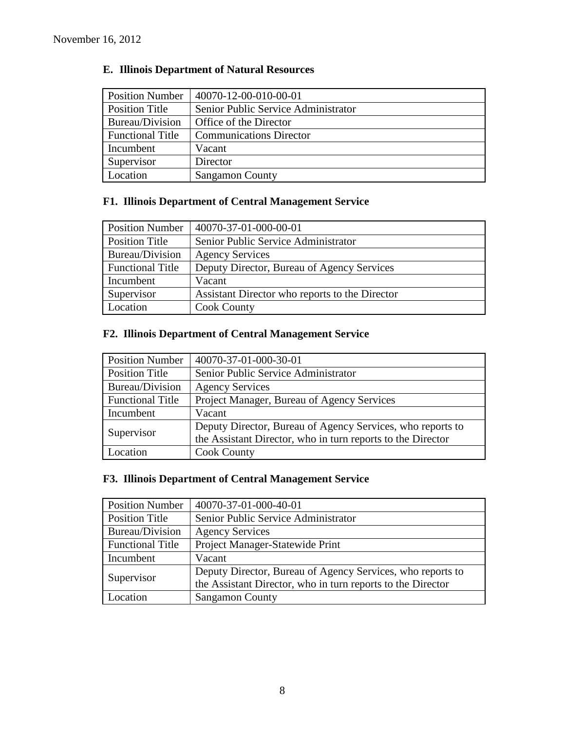# **E. Illinois Department of Natural Resources**

| <b>Position Number</b>  | 40070-12-00-010-00-01               |
|-------------------------|-------------------------------------|
| Position Title          | Senior Public Service Administrator |
| Bureau/Division         | Office of the Director              |
| <b>Functional Title</b> | <b>Communications Director</b>      |
| Incumbent               | Vacant                              |
| Supervisor              | Director                            |
| Location                | <b>Sangamon County</b>              |

# **F1. Illinois Department of Central Management Service**

| <b>Position Number</b>  | 40070-37-01-000-00-01                          |
|-------------------------|------------------------------------------------|
| Position Title          | Senior Public Service Administrator            |
| Bureau/Division         | <b>Agency Services</b>                         |
| <b>Functional Title</b> | Deputy Director, Bureau of Agency Services     |
| Incumbent               | Vacant                                         |
| Supervisor              | Assistant Director who reports to the Director |
| Location                | <b>Cook County</b>                             |

# **F2. Illinois Department of Central Management Service**

| <b>Position Number</b>  | 40070-37-01-000-30-01                                       |
|-------------------------|-------------------------------------------------------------|
| <b>Position Title</b>   | Senior Public Service Administrator                         |
| Bureau/Division         | <b>Agency Services</b>                                      |
| <b>Functional Title</b> | Project Manager, Bureau of Agency Services                  |
| Incumbent               | Vacant                                                      |
| Supervisor              | Deputy Director, Bureau of Agency Services, who reports to  |
|                         | the Assistant Director, who in turn reports to the Director |
| Location                | <b>Cook County</b>                                          |

# **F3. Illinois Department of Central Management Service**

| <b>Position Number</b>  | 40070-37-01-000-40-01                                       |
|-------------------------|-------------------------------------------------------------|
| <b>Position Title</b>   | Senior Public Service Administrator                         |
| Bureau/Division         | <b>Agency Services</b>                                      |
| <b>Functional Title</b> | Project Manager-Statewide Print                             |
| Incumbent               | Vacant                                                      |
| Supervisor              | Deputy Director, Bureau of Agency Services, who reports to  |
|                         | the Assistant Director, who in turn reports to the Director |
| Location                | <b>Sangamon County</b>                                      |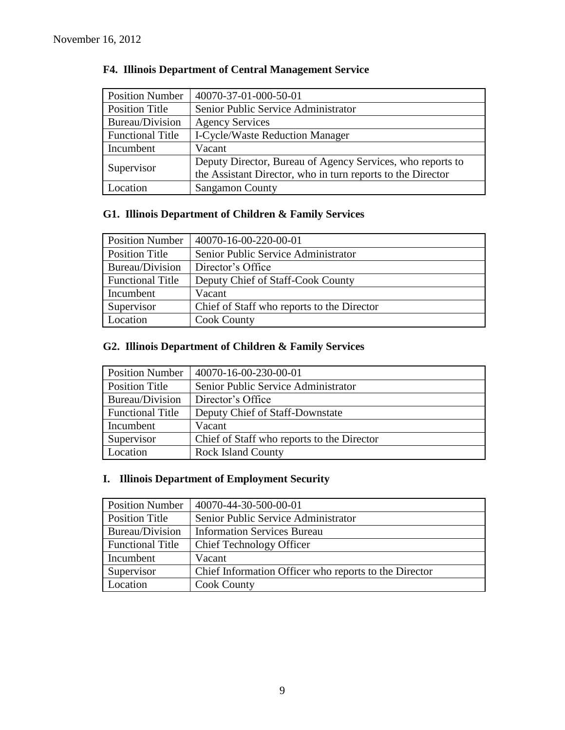| <b>Position Number</b>  | 40070-37-01-000-50-01                                       |
|-------------------------|-------------------------------------------------------------|
| <b>Position Title</b>   | Senior Public Service Administrator                         |
| Bureau/Division         | <b>Agency Services</b>                                      |
| <b>Functional Title</b> | <b>I-Cycle/Waste Reduction Manager</b>                      |
| Incumbent               | Vacant                                                      |
| Supervisor              | Deputy Director, Bureau of Agency Services, who reports to  |
|                         | the Assistant Director, who in turn reports to the Director |
| Location                | <b>Sangamon County</b>                                      |

# **F4. Illinois Department of Central Management Service**

# **G1. Illinois Department of Children & Family Services**

| <b>Position Number</b>  | 40070-16-00-220-00-01                      |
|-------------------------|--------------------------------------------|
| <b>Position Title</b>   | Senior Public Service Administrator        |
| Bureau/Division         | Director's Office                          |
| <b>Functional Title</b> | Deputy Chief of Staff-Cook County          |
| Incumbent               | Vacant                                     |
| Supervisor              | Chief of Staff who reports to the Director |
| Location                | <b>Cook County</b>                         |

# **G2. Illinois Department of Children & Family Services**

| <b>Position Number</b>  | $ 40070-16-00-230-00-01$                   |
|-------------------------|--------------------------------------------|
| <b>Position Title</b>   | Senior Public Service Administrator        |
| Bureau/Division         | Director's Office                          |
| <b>Functional Title</b> | Deputy Chief of Staff-Downstate            |
| Incumbent               | Vacant                                     |
| Supervisor              | Chief of Staff who reports to the Director |
| Location                | <b>Rock Island County</b>                  |

# **I. Illinois Department of Employment Security**

| <b>Position Number</b>  | 40070-44-30-500-00-01                                 |
|-------------------------|-------------------------------------------------------|
| <b>Position Title</b>   | Senior Public Service Administrator                   |
| Bureau/Division         | <b>Information Services Bureau</b>                    |
| <b>Functional Title</b> | <b>Chief Technology Officer</b>                       |
| Incumbent               | Vacant                                                |
| Supervisor              | Chief Information Officer who reports to the Director |
| Location                | <b>Cook County</b>                                    |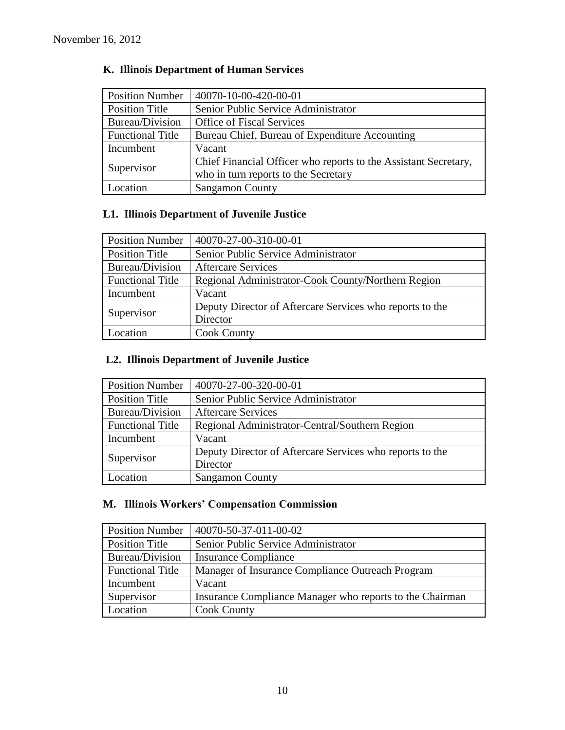| <b>Position Number</b>  | 40070-10-00-420-00-01                                           |
|-------------------------|-----------------------------------------------------------------|
| <b>Position Title</b>   | Senior Public Service Administrator                             |
| Bureau/Division         | <b>Office of Fiscal Services</b>                                |
| <b>Functional Title</b> | Bureau Chief, Bureau of Expenditure Accounting                  |
| Incumbent               | Vacant                                                          |
| Supervisor              | Chief Financial Officer who reports to the Assistant Secretary, |
|                         | who in turn reports to the Secretary                            |
| Location                | <b>Sangamon County</b>                                          |

# **K. Illinois Department of Human Services**

# **L1. Illinois Department of Juvenile Justice**

| <b>Position Number</b>  | 40070-27-00-310-00-01                                    |  |  |  |
|-------------------------|----------------------------------------------------------|--|--|--|
| <b>Position Title</b>   | Senior Public Service Administrator                      |  |  |  |
| Bureau/Division         | <b>Aftercare Services</b>                                |  |  |  |
| <b>Functional Title</b> | Regional Administrator-Cook County/Northern Region       |  |  |  |
| Incumbent               | Vacant                                                   |  |  |  |
| Supervisor              | Deputy Director of Aftercare Services who reports to the |  |  |  |
|                         | Director                                                 |  |  |  |
| Location                | <b>Cook County</b>                                       |  |  |  |

# **L2. Illinois Department of Juvenile Justice**

| <b>Position Number</b>  | 40070-27-00-320-00-01                                    |
|-------------------------|----------------------------------------------------------|
| <b>Position Title</b>   | Senior Public Service Administrator                      |
| Bureau/Division         | <b>Aftercare Services</b>                                |
| <b>Functional Title</b> | Regional Administrator-Central/Southern Region           |
| Incumbent               | Vacant                                                   |
|                         | Deputy Director of Aftercare Services who reports to the |
| Supervisor              | Director                                                 |
| Location                | <b>Sangamon County</b>                                   |

# **M. Illinois Workers' Compensation Commission**

| <b>Position Number</b>  | 40070-50-37-011-00-02                                    |
|-------------------------|----------------------------------------------------------|
| <b>Position Title</b>   | Senior Public Service Administrator                      |
| Bureau/Division         | <b>Insurance Compliance</b>                              |
| <b>Functional Title</b> | Manager of Insurance Compliance Outreach Program         |
| Incumbent               | Vacant                                                   |
| Supervisor              | Insurance Compliance Manager who reports to the Chairman |
| Location                | <b>Cook County</b>                                       |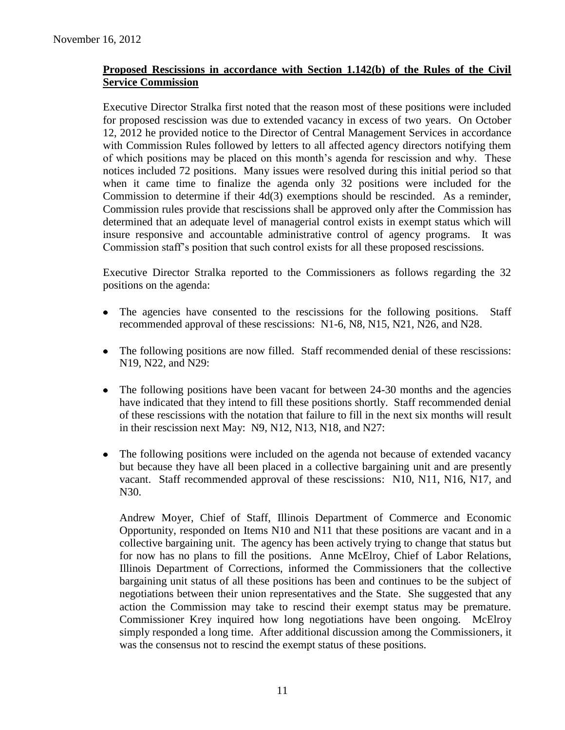### **Proposed Rescissions in accordance with Section 1.142(b) of the Rules of the Civil Service Commission**

Executive Director Stralka first noted that the reason most of these positions were included for proposed rescission was due to extended vacancy in excess of two years. On October 12, 2012 he provided notice to the Director of Central Management Services in accordance with Commission Rules followed by letters to all affected agency directors notifying them of which positions may be placed on this month's agenda for rescission and why. These notices included 72 positions. Many issues were resolved during this initial period so that when it came time to finalize the agenda only 32 positions were included for the Commission to determine if their 4d(3) exemptions should be rescinded. As a reminder, Commission rules provide that rescissions shall be approved only after the Commission has determined that an adequate level of managerial control exists in exempt status which will insure responsive and accountable administrative control of agency programs. It was Commission staff's position that such control exists for all these proposed rescissions.

Executive Director Stralka reported to the Commissioners as follows regarding the 32 positions on the agenda:

- $\bullet$ The agencies have consented to the rescissions for the following positions. Staff recommended approval of these rescissions: N1-6, N8, N15, N21, N26, and N28.
- The following positions are now filled. Staff recommended denial of these rescissions: N19, N22, and N29:
- $\bullet$ The following positions have been vacant for between 24-30 months and the agencies have indicated that they intend to fill these positions shortly. Staff recommended denial of these rescissions with the notation that failure to fill in the next six months will result in their rescission next May: N9, N12, N13, N18, and N27:
- The following positions were included on the agenda not because of extended vacancy  $\bullet$ but because they have all been placed in a collective bargaining unit and are presently vacant. Staff recommended approval of these rescissions: N10, N11, N16, N17, and N30.

Andrew Moyer, Chief of Staff, Illinois Department of Commerce and Economic Opportunity, responded on Items N10 and N11 that these positions are vacant and in a collective bargaining unit. The agency has been actively trying to change that status but for now has no plans to fill the positions. Anne McElroy, Chief of Labor Relations, Illinois Department of Corrections, informed the Commissioners that the collective bargaining unit status of all these positions has been and continues to be the subject of negotiations between their union representatives and the State. She suggested that any action the Commission may take to rescind their exempt status may be premature. Commissioner Krey inquired how long negotiations have been ongoing. McElroy simply responded a long time. After additional discussion among the Commissioners, it was the consensus not to rescind the exempt status of these positions.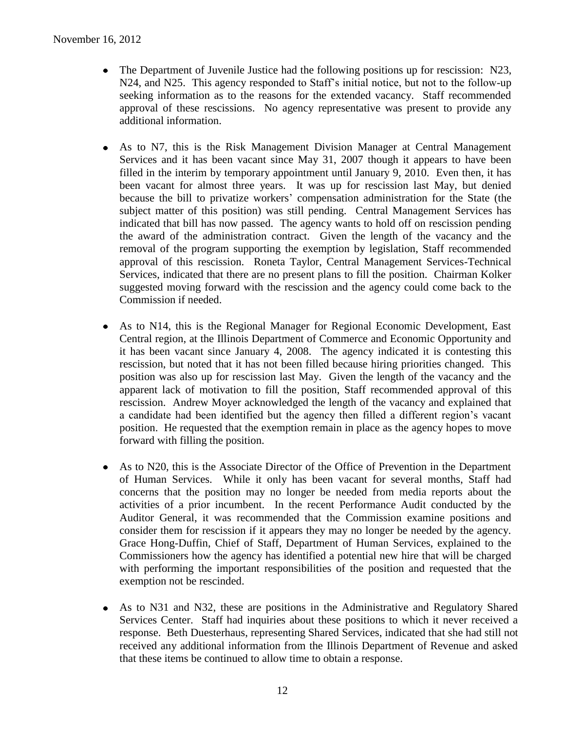- The Department of Juvenile Justice had the following positions up for rescission: N23, N24, and N25. This agency responded to Staff's initial notice, but not to the follow-up seeking information as to the reasons for the extended vacancy. Staff recommended approval of these rescissions. No agency representative was present to provide any additional information.
- As to N7, this is the Risk Management Division Manager at Central Management Services and it has been vacant since May 31, 2007 though it appears to have been filled in the interim by temporary appointment until January 9, 2010. Even then, it has been vacant for almost three years. It was up for rescission last May, but denied because the bill to privatize workers' compensation administration for the State (the subject matter of this position) was still pending. Central Management Services has indicated that bill has now passed. The agency wants to hold off on rescission pending the award of the administration contract. Given the length of the vacancy and the removal of the program supporting the exemption by legislation, Staff recommended approval of this rescission. Roneta Taylor, Central Management Services-Technical Services, indicated that there are no present plans to fill the position. Chairman Kolker suggested moving forward with the rescission and the agency could come back to the Commission if needed.
- As to N14, this is the Regional Manager for Regional Economic Development, East Central region, at the Illinois Department of Commerce and Economic Opportunity and it has been vacant since January 4, 2008. The agency indicated it is contesting this rescission, but noted that it has not been filled because hiring priorities changed. This position was also up for rescission last May. Given the length of the vacancy and the apparent lack of motivation to fill the position, Staff recommended approval of this rescission. Andrew Moyer acknowledged the length of the vacancy and explained that a candidate had been identified but the agency then filled a different region's vacant position. He requested that the exemption remain in place as the agency hopes to move forward with filling the position.
- As to N20, this is the Associate Director of the Office of Prevention in the Department of Human Services. While it only has been vacant for several months, Staff had concerns that the position may no longer be needed from media reports about the activities of a prior incumbent. In the recent Performance Audit conducted by the Auditor General, it was recommended that the Commission examine positions and consider them for rescission if it appears they may no longer be needed by the agency. Grace Hong-Duffin, Chief of Staff, Department of Human Services, explained to the Commissioners how the agency has identified a potential new hire that will be charged with performing the important responsibilities of the position and requested that the exemption not be rescinded.
- As to N31 and N32, these are positions in the Administrative and Regulatory Shared Services Center. Staff had inquiries about these positions to which it never received a response. Beth Duesterhaus, representing Shared Services, indicated that she had still not received any additional information from the Illinois Department of Revenue and asked that these items be continued to allow time to obtain a response.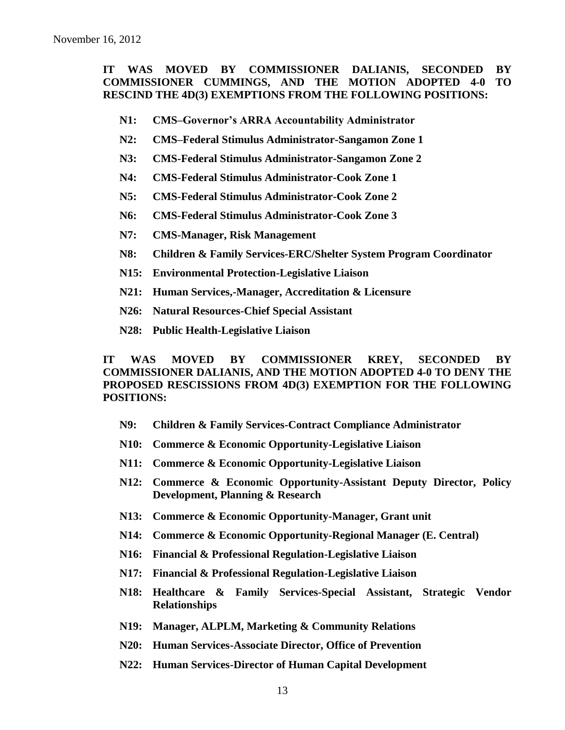### **IT WAS MOVED BY COMMISSIONER DALIANIS, SECONDED BY COMMISSIONER CUMMINGS, AND THE MOTION ADOPTED 4-0 TO RESCIND THE 4D(3) EXEMPTIONS FROM THE FOLLOWING POSITIONS:**

- **N1: CMS–Governor's ARRA Accountability Administrator**
- **N2: CMS–Federal Stimulus Administrator-Sangamon Zone 1**
- **N3: CMS-Federal Stimulus Administrator-Sangamon Zone 2**
- **N4: CMS-Federal Stimulus Administrator-Cook Zone 1**
- **N5: CMS-Federal Stimulus Administrator-Cook Zone 2**
- **N6: CMS-Federal Stimulus Administrator-Cook Zone 3**
- **N7: CMS-Manager, Risk Management**
- **N8: Children & Family Services-ERC/Shelter System Program Coordinator**
- **N15: Environmental Protection-Legislative Liaison**
- **N21: Human Services,-Manager, Accreditation & Licensure**
- **N26: Natural Resources-Chief Special Assistant**
- **N28: Public Health-Legislative Liaison**

**IT WAS MOVED BY COMMISSIONER KREY, SECONDED BY COMMISSIONER DALIANIS, AND THE MOTION ADOPTED 4-0 TO DENY THE PROPOSED RESCISSIONS FROM 4D(3) EXEMPTION FOR THE FOLLOWING POSITIONS:**

- **N9: Children & Family Services-Contract Compliance Administrator**
- **N10: Commerce & Economic Opportunity-Legislative Liaison**
- **N11: Commerce & Economic Opportunity-Legislative Liaison**
- **N12: Commerce & Economic Opportunity-Assistant Deputy Director, Policy Development, Planning & Research**
- **N13: Commerce & Economic Opportunity-Manager, Grant unit**
- **N14: Commerce & Economic Opportunity-Regional Manager (E. Central)**
- **N16: Financial & Professional Regulation-Legislative Liaison**
- **N17: Financial & Professional Regulation-Legislative Liaison**
- **N18: Healthcare & Family Services-Special Assistant, Strategic Vendor Relationships**
- **N19: Manager, ALPLM, Marketing & Community Relations**
- **N20: Human Services-Associate Director, Office of Prevention**
- **N22: Human Services-Director of Human Capital Development**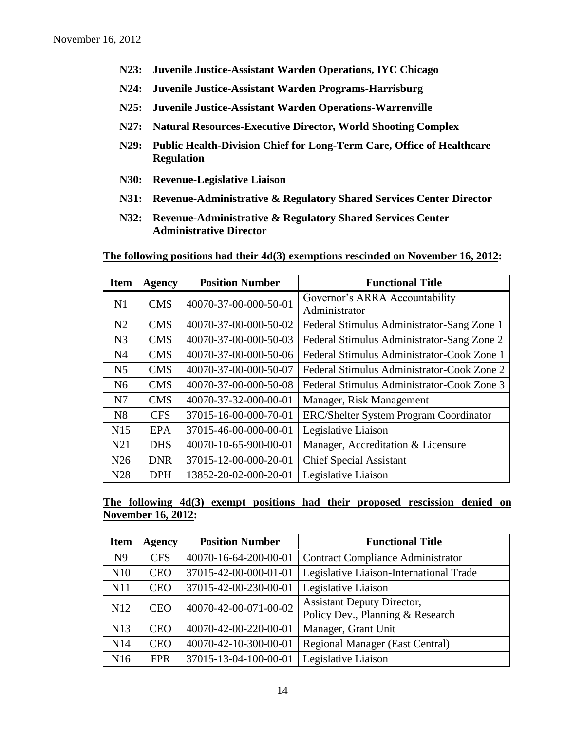- **N23: Juvenile Justice-Assistant Warden Operations, IYC Chicago**
- **N24: Juvenile Justice-Assistant Warden Programs-Harrisburg**
- **N25: Juvenile Justice-Assistant Warden Operations-Warrenville**
- **N27: Natural Resources-Executive Director, World Shooting Complex**
- **N29: Public Health-Division Chief for Long-Term Care, Office of Healthcare Regulation**
- **N30: Revenue-Legislative Liaison**
- **N31: Revenue-Administrative & Regulatory Shared Services Center Director**
- **N32: Revenue-Administrative & Regulatory Shared Services Center Administrative Director**

**The following positions had their 4d(3) exemptions rescinded on November 16, 2012:**

| <b>Item</b>     | <b>Agency</b> | <b>Position Number</b> | <b>Functional Title</b>                         |  |  |
|-----------------|---------------|------------------------|-------------------------------------------------|--|--|
| N1              | <b>CMS</b>    | 40070-37-00-000-50-01  | Governor's ARRA Accountability<br>Administrator |  |  |
| N <sub>2</sub>  | <b>CMS</b>    | 40070-37-00-000-50-02  | Federal Stimulus Administrator-Sang Zone 1      |  |  |
| N <sub>3</sub>  | <b>CMS</b>    | 40070-37-00-000-50-03  | Federal Stimulus Administrator-Sang Zone 2      |  |  |
| N <sub>4</sub>  | <b>CMS</b>    | 40070-37-00-000-50-06  | Federal Stimulus Administrator-Cook Zone 1      |  |  |
| N <sub>5</sub>  | <b>CMS</b>    | 40070-37-00-000-50-07  | Federal Stimulus Administrator-Cook Zone 2      |  |  |
| N <sub>6</sub>  | <b>CMS</b>    | 40070-37-00-000-50-08  | Federal Stimulus Administrator-Cook Zone 3      |  |  |
| N7              | <b>CMS</b>    | 40070-37-32-000-00-01  | Manager, Risk Management                        |  |  |
| N8              | <b>CFS</b>    | 37015-16-00-000-70-01  | <b>ERC/Shelter System Program Coordinator</b>   |  |  |
| N15             | <b>EPA</b>    | 37015-46-00-000-00-01  | Legislative Liaison                             |  |  |
| N <sub>21</sub> | <b>DHS</b>    | 40070-10-65-900-00-01  | Manager, Accreditation & Licensure              |  |  |
| N26             | <b>DNR</b>    | 37015-12-00-000-20-01  | <b>Chief Special Assistant</b>                  |  |  |
| N28             | <b>DPH</b>    | 13852-20-02-000-20-01  | Legislative Liaison                             |  |  |

### **The following 4d(3) exempt positions had their proposed rescission denied on November 16, 2012:**

| <b>Item</b>     | <b>Agency</b> | <b>Position Number</b> | <b>Functional Title</b>                                               |  |  |
|-----------------|---------------|------------------------|-----------------------------------------------------------------------|--|--|
| N <sub>9</sub>  | <b>CFS</b>    | 40070-16-64-200-00-01  | <b>Contract Compliance Administrator</b>                              |  |  |
| N10             | <b>CEO</b>    | 37015-42-00-000-01-01  | Legislative Liaison-International Trade                               |  |  |
| N11             | <b>CEO</b>    | 37015-42-00-230-00-01  | Legislative Liaison                                                   |  |  |
| N <sub>12</sub> | <b>CEO</b>    | 40070-42-00-071-00-02  | <b>Assistant Deputy Director,</b><br>Policy Dev., Planning & Research |  |  |
| N <sub>13</sub> | <b>CEO</b>    | 40070-42-00-220-00-01  | Manager, Grant Unit                                                   |  |  |
| N14             | <b>CEO</b>    | 40070-42-10-300-00-01  | <b>Regional Manager (East Central)</b>                                |  |  |
| N16             | <b>FPR</b>    | 37015-13-04-100-00-01  | Legislative Liaison                                                   |  |  |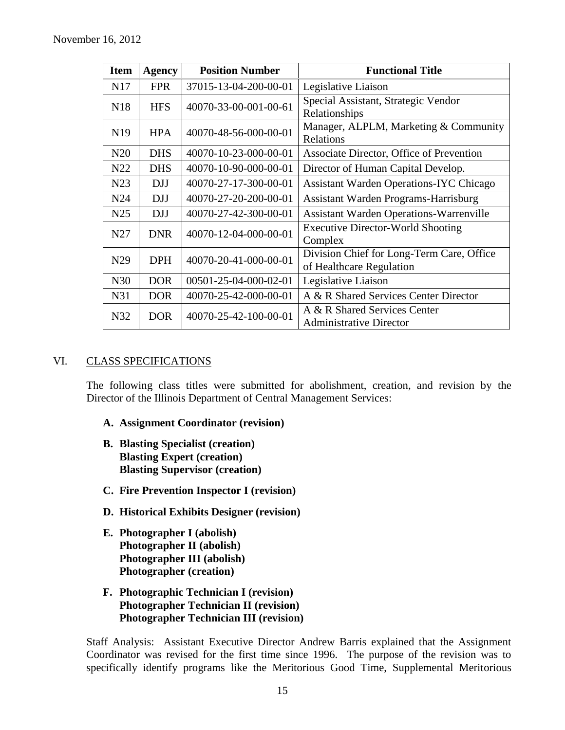| <b>Item</b>     | <b>Agency</b> | <b>Position Number</b> | <b>Functional Title</b>                                               |  |  |
|-----------------|---------------|------------------------|-----------------------------------------------------------------------|--|--|
| N17             | <b>FPR</b>    | 37015-13-04-200-00-01  | Legislative Liaison                                                   |  |  |
| N <sub>18</sub> | <b>HFS</b>    | 40070-33-00-001-00-61  | Special Assistant, Strategic Vendor<br>Relationships                  |  |  |
| N <sub>19</sub> | <b>HPA</b>    | 40070-48-56-000-00-01  | Manager, ALPLM, Marketing & Community<br>Relations                    |  |  |
| N20             | <b>DHS</b>    | 40070-10-23-000-00-01  | Associate Director, Office of Prevention                              |  |  |
| N22             | <b>DHS</b>    | 40070-10-90-000-00-01  | Director of Human Capital Develop.                                    |  |  |
| N23             | <b>DJJ</b>    | 40070-27-17-300-00-01  | <b>Assistant Warden Operations-IYC Chicago</b>                        |  |  |
| N <sub>24</sub> | <b>DJJ</b>    | 40070-27-20-200-00-01  | Assistant Warden Programs-Harrisburg                                  |  |  |
| N <sub>25</sub> | <b>DJJ</b>    | 40070-27-42-300-00-01  | <b>Assistant Warden Operations-Warrenville</b>                        |  |  |
| N <sub>27</sub> | <b>DNR</b>    | 40070-12-04-000-00-01  | <b>Executive Director-World Shooting</b><br>Complex                   |  |  |
| N <sub>29</sub> | <b>DPH</b>    | 40070-20-41-000-00-01  | Division Chief for Long-Term Care, Office<br>of Healthcare Regulation |  |  |
| N30             | <b>DOR</b>    | 00501-25-04-000-02-01  | Legislative Liaison                                                   |  |  |
| N31             | <b>DOR</b>    | 40070-25-42-000-00-01  | A & R Shared Services Center Director                                 |  |  |
| N32             | DOR           | 40070-25-42-100-00-01  | A & R Shared Services Center<br><b>Administrative Director</b>        |  |  |

### VI. CLASS SPECIFICATIONS

The following class titles were submitted for abolishment, creation, and revision by the Director of the Illinois Department of Central Management Services:

- **A. Assignment Coordinator (revision)**
- **B. Blasting Specialist (creation) Blasting Expert (creation) Blasting Supervisor (creation)**
- **C. Fire Prevention Inspector I (revision)**
- **D. Historical Exhibits Designer (revision)**
- **E. Photographer I (abolish) Photographer II (abolish) Photographer III (abolish) Photographer (creation)**
- **F. Photographic Technician I (revision) Photographer Technician II (revision) Photographer Technician III (revision)**

Staff Analysis: Assistant Executive Director Andrew Barris explained that the Assignment Coordinator was revised for the first time since 1996. The purpose of the revision was to specifically identify programs like the Meritorious Good Time, Supplemental Meritorious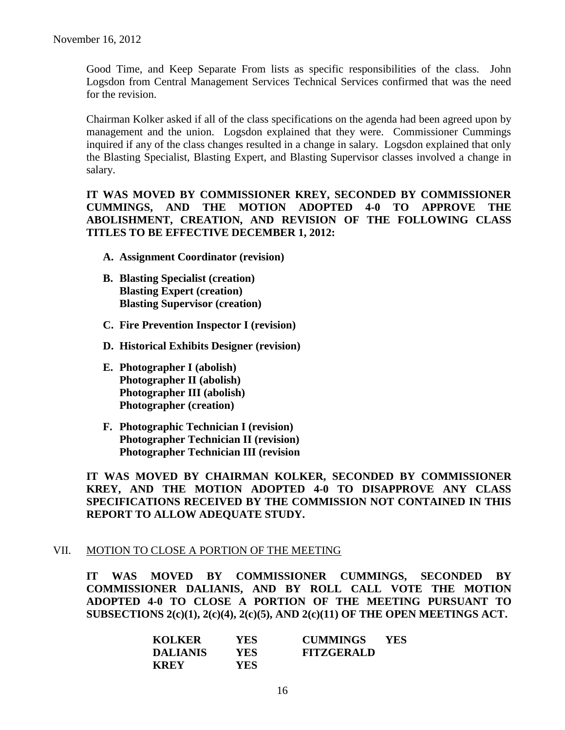Good Time, and Keep Separate From lists as specific responsibilities of the class. John Logsdon from Central Management Services Technical Services confirmed that was the need for the revision.

Chairman Kolker asked if all of the class specifications on the agenda had been agreed upon by management and the union. Logsdon explained that they were. Commissioner Cummings inquired if any of the class changes resulted in a change in salary. Logsdon explained that only the Blasting Specialist, Blasting Expert, and Blasting Supervisor classes involved a change in salary.

**IT WAS MOVED BY COMMISSIONER KREY, SECONDED BY COMMISSIONER CUMMINGS, AND THE MOTION ADOPTED 4-0 TO APPROVE THE ABOLISHMENT, CREATION, AND REVISION OF THE FOLLOWING CLASS TITLES TO BE EFFECTIVE DECEMBER 1, 2012:**

- **A. Assignment Coordinator (revision)**
- **B. Blasting Specialist (creation) Blasting Expert (creation) Blasting Supervisor (creation)**
- **C. Fire Prevention Inspector I (revision)**
- **D. Historical Exhibits Designer (revision)**
- **E. Photographer I (abolish) Photographer II (abolish) Photographer III (abolish) Photographer (creation)**
- **F. Photographic Technician I (revision) Photographer Technician II (revision) Photographer Technician III (revision**

**IT WAS MOVED BY CHAIRMAN KOLKER, SECONDED BY COMMISSIONER KREY, AND THE MOTION ADOPTED 4-0 TO DISAPPROVE ANY CLASS SPECIFICATIONS RECEIVED BY THE COMMISSION NOT CONTAINED IN THIS REPORT TO ALLOW ADEQUATE STUDY.** 

### VII. MOTION TO CLOSE A PORTION OF THE MEETING

**IT WAS MOVED BY COMMISSIONER CUMMINGS, SECONDED BY COMMISSIONER DALIANIS, AND BY ROLL CALL VOTE THE MOTION ADOPTED 4-0 TO CLOSE A PORTION OF THE MEETING PURSUANT TO SUBSECTIONS 2(c)(1), 2(c)(4), 2(c)(5), AND 2(c)(11) OF THE OPEN MEETINGS ACT.**

| <b>KOLKER</b>   | YES  | <b>CUMMINGS</b>   | <b>YES</b> |
|-----------------|------|-------------------|------------|
| <b>DALIANIS</b> | YES. | <b>FITZGERALD</b> |            |
| <b>KREY</b>     | YES. |                   |            |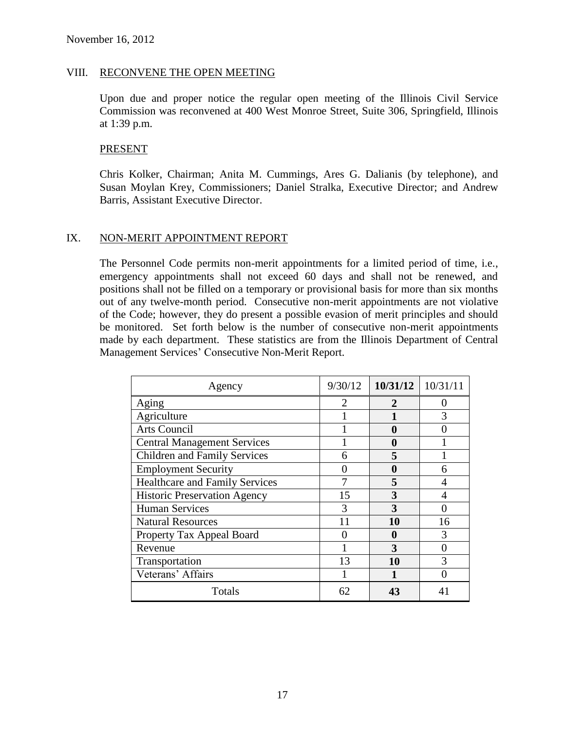#### VIII. RECONVENE THE OPEN MEETING

Upon due and proper notice the regular open meeting of the Illinois Civil Service Commission was reconvened at 400 West Monroe Street, Suite 306, Springfield, Illinois at 1:39 p.m.

#### PRESENT

Chris Kolker, Chairman; Anita M. Cummings, Ares G. Dalianis (by telephone), and Susan Moylan Krey, Commissioners; Daniel Stralka, Executive Director; and Andrew Barris, Assistant Executive Director.

### IX. NON-MERIT APPOINTMENT REPORT

The Personnel Code permits non-merit appointments for a limited period of time, i.e., emergency appointments shall not exceed 60 days and shall not be renewed, and positions shall not be filled on a temporary or provisional basis for more than six months out of any twelve-month period. Consecutive non-merit appointments are not violative of the Code; however, they do present a possible evasion of merit principles and should be monitored. Set forth below is the number of consecutive non-merit appointments made by each department. These statistics are from the Illinois Department of Central Management Services' Consecutive Non-Merit Report.

| Agency                                | 9/30/12                | 10/31/12 | 10/31/11 |
|---------------------------------------|------------------------|----------|----------|
| Aging                                 | $\mathfrak{D}_{\cdot}$ | 2        |          |
| Agriculture                           |                        |          | 3        |
| Arts Council                          |                        |          |          |
| <b>Central Management Services</b>    |                        | 0        |          |
| <b>Children and Family Services</b>   | 6                      | 5        |          |
| <b>Employment Security</b>            |                        | 0        |          |
| <b>Healthcare and Family Services</b> |                        | 5        |          |
| <b>Historic Preservation Agency</b>   | 15                     | 3        |          |
| <b>Human Services</b>                 | 3                      | 3        |          |
| <b>Natural Resources</b>              | 11                     | 10       | 16       |
| Property Tax Appeal Board             |                        | n        | 3        |
| Revenue                               |                        | 3        |          |
| Transportation                        | 13                     | 10       | 3        |
| Veterans' Affairs                     |                        |          |          |
| Totals                                | 62                     | 43       |          |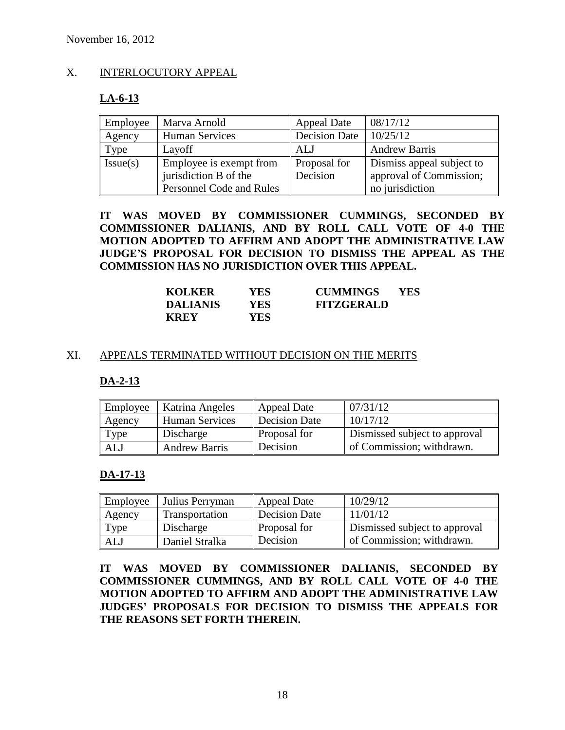### X. INTERLOCUTORY APPEAL

# **LA-6-13**

| Employee | Marva Arnold             | <b>Appeal Date</b>   | 08/17/12                  |
|----------|--------------------------|----------------------|---------------------------|
| Agency   | <b>Human Services</b>    | <b>Decision Date</b> | 10/25/12                  |
| Type     | Layoff                   | ALJ                  | <b>Andrew Barris</b>      |
| Issue(s) | Employee is exempt from  | Proposal for         | Dismiss appeal subject to |
|          | jurisdiction B of the    | Decision             | approval of Commission;   |
|          | Personnel Code and Rules |                      | no jurisdiction           |

**IT WAS MOVED BY COMMISSIONER CUMMINGS, SECONDED BY COMMISSIONER DALIANIS, AND BY ROLL CALL VOTE OF 4-0 THE MOTION ADOPTED TO AFFIRM AND ADOPT THE ADMINISTRATIVE LAW JUDGE'S PROPOSAL FOR DECISION TO DISMISS THE APPEAL AS THE COMMISSION HAS NO JURISDICTION OVER THIS APPEAL.**

| <b>KOLKER</b>   | YES        | <b>CUMMINGS</b>   | <b>YES</b> |
|-----------------|------------|-------------------|------------|
| <b>DALIANIS</b> | YES.       | <b>FITZGERALD</b> |            |
| <b>KREY</b>     | <b>YES</b> |                   |            |

### XI. APPEALS TERMINATED WITHOUT DECISION ON THE MERITS

### **DA-2-13**

| Employee | <b>Katrina Angeles</b> | Appeal Date         | 07/31/12                      |
|----------|------------------------|---------------------|-------------------------------|
| Agency   | Human Services         | Decision Date       | 10/17/12                      |
| Type     | Discharge              | <b>Proposal for</b> | Dismissed subject to approval |
| ALJ      | <b>Andrew Barris</b>   | Decision            | of Commission; withdrawn.     |

### **DA-17-13**

| Employee | Julius Perryman | Appeal Date   | 10/29/12                      |
|----------|-----------------|---------------|-------------------------------|
| Agency   | Transportation  | Decision Date | 11/01/12                      |
| Type     | Discharge       | Proposal for  | Dismissed subject to approval |
| ALJ      | Daniel Stralka  | Decision      | of Commission; withdrawn.     |

**IT WAS MOVED BY COMMISSIONER DALIANIS, SECONDED BY COMMISSIONER CUMMINGS, AND BY ROLL CALL VOTE OF 4-0 THE MOTION ADOPTED TO AFFIRM AND ADOPT THE ADMINISTRATIVE LAW JUDGES' PROPOSALS FOR DECISION TO DISMISS THE APPEALS FOR THE REASONS SET FORTH THEREIN.**